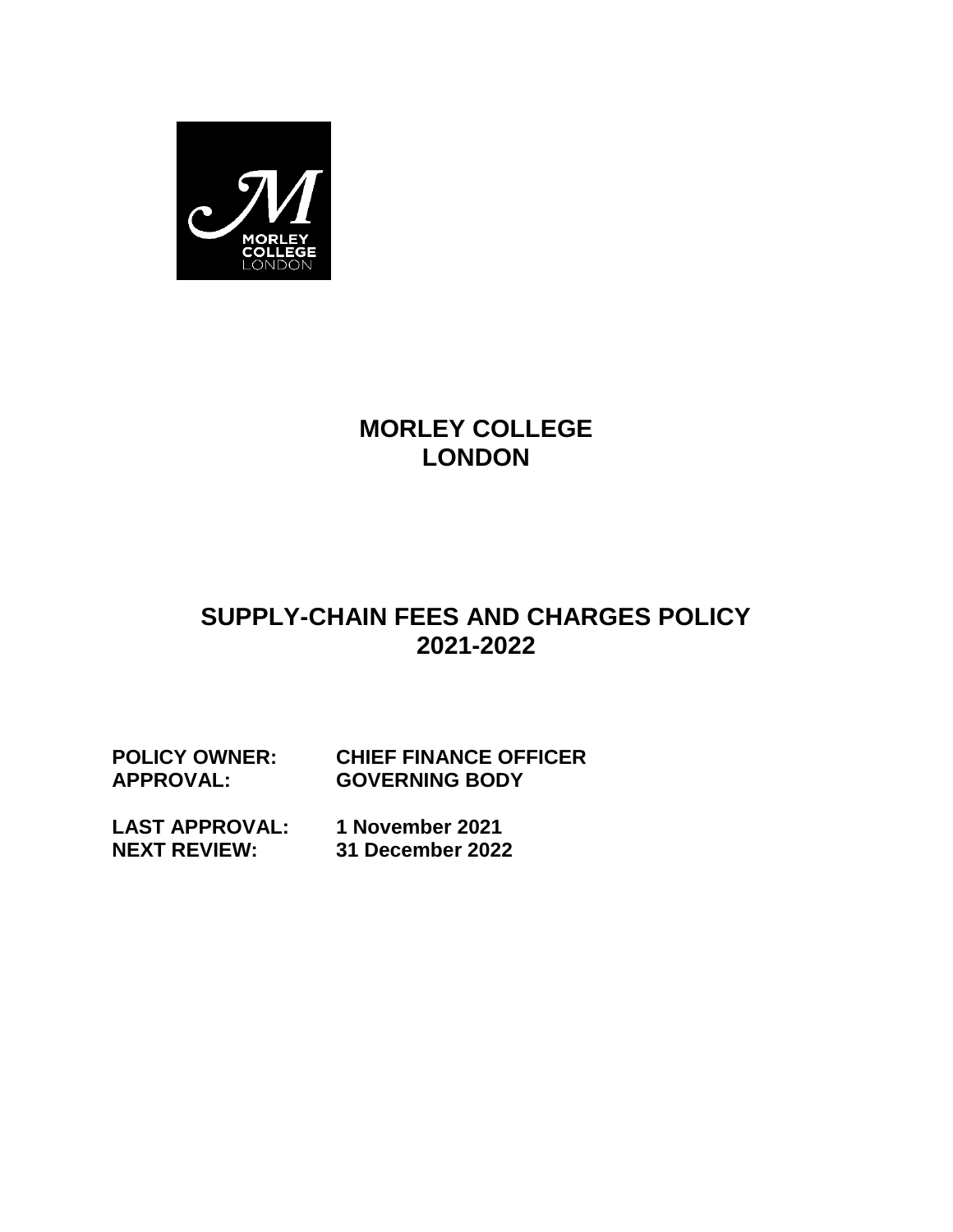

# **MORLEY COLLEGE LONDON**

# **SUPPLY-CHAIN FEES AND CHARGES POLICY 2021-2022**

**POLICY OWNER: CHIEF FINANCE OFFICER APPROVAL: GOVERNING BODY**

**LAST APPROVAL: NEXT REVIEW: 1 November 2021 31 December 2022**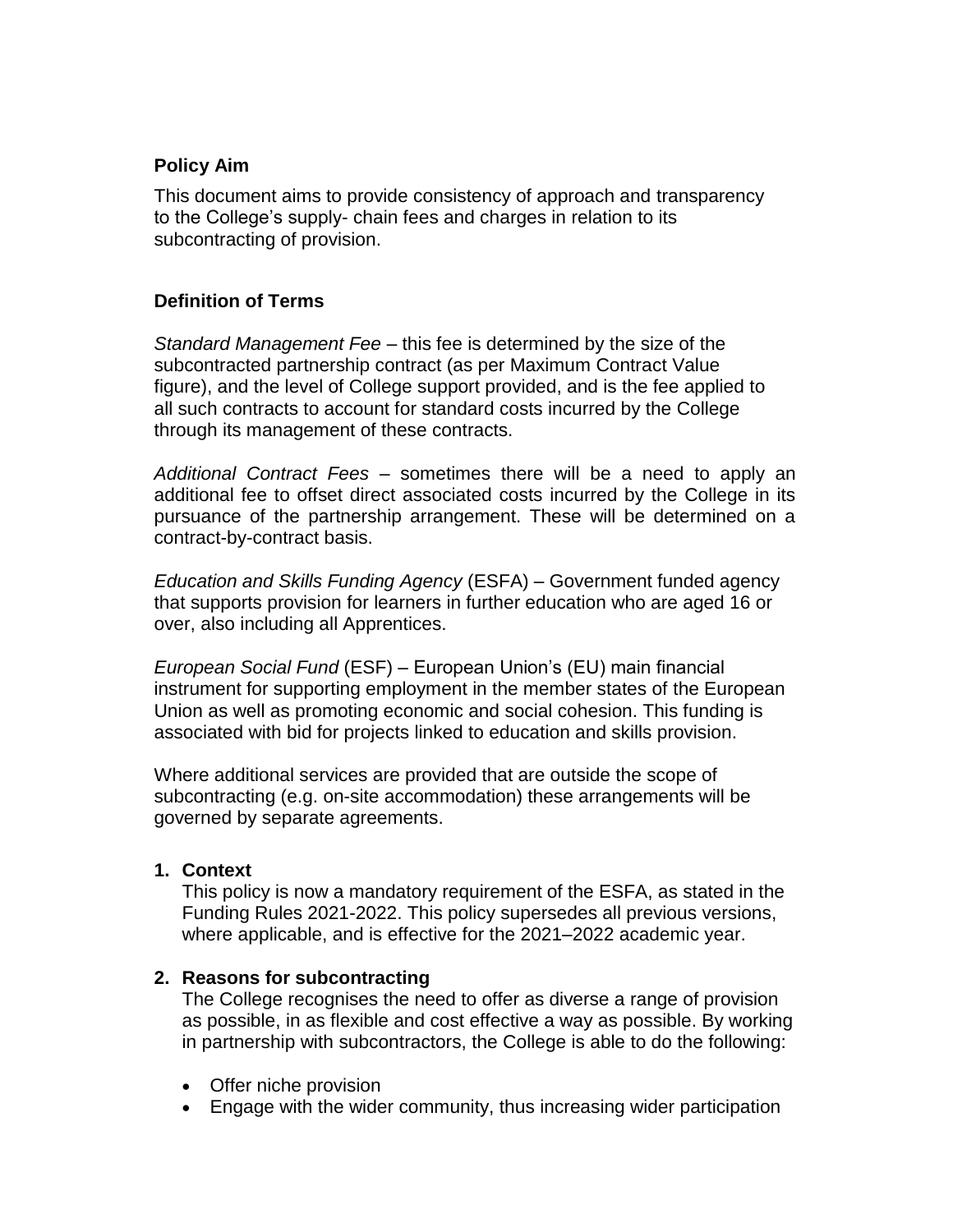### **Policy Aim**

This document aims to provide consistency of approach and transparency to the College's supply- chain fees and charges in relation to its subcontracting of provision.

# **Definition of Terms**

*Standard Management Fee* – this fee is determined by the size of the subcontracted partnership contract (as per Maximum Contract Value figure), and the level of College support provided, and is the fee applied to all such contracts to account for standard costs incurred by the College through its management of these contracts.

*Additional Contract Fees* – sometimes there will be a need to apply an additional fee to offset direct associated costs incurred by the College in its pursuance of the partnership arrangement. These will be determined on a contract-by-contract basis.

*Education and Skills Funding Agency* (ESFA) – Government funded agency that supports provision for learners in further education who are aged 16 or over, also including all Apprentices.

*European Social Fund* (ESF) – European Union's (EU) main financial instrument for supporting employment in the member states of the European Union as well as promoting economic and social cohesion. This funding is associated with bid for projects linked to education and skills provision.

Where additional services are provided that are outside the scope of subcontracting (e.g. on-site accommodation) these arrangements will be governed by separate agreements.

#### **1. Context**

This policy is now a mandatory requirement of the ESFA, as stated in the Funding Rules 2021-2022. This policy supersedes all previous versions, where applicable, and is effective for the 2021–2022 academic year.

#### **2. Reasons for subcontracting**

The College recognises the need to offer as diverse a range of provision as possible, in as flexible and cost effective a way as possible. By working in partnership with subcontractors, the College is able to do the following:

- Offer niche provision
- Engage with the wider community, thus increasing wider participation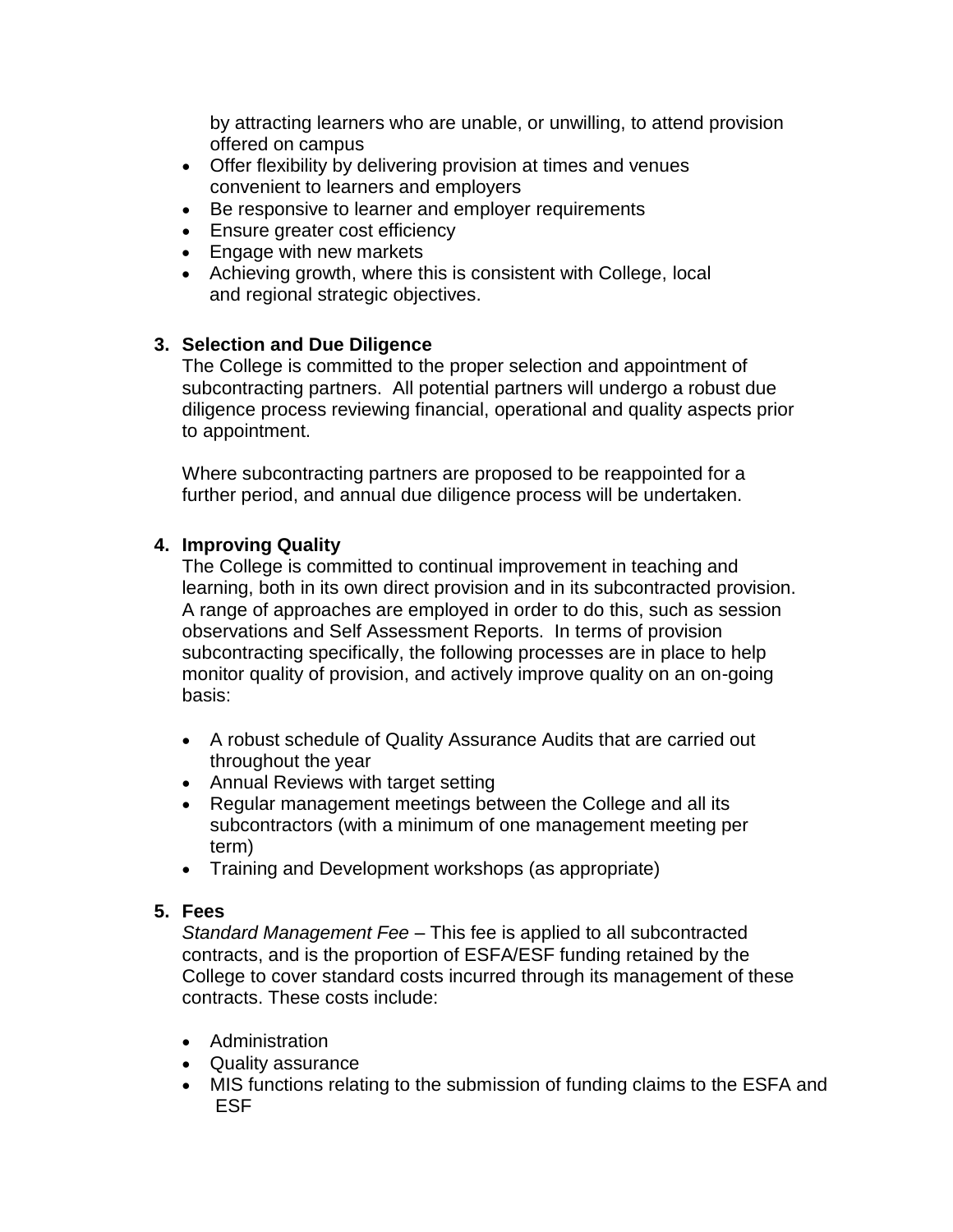by attracting learners who are unable, or unwilling, to attend provision offered on campus

- Offer flexibility by delivering provision at times and venues convenient to learners and employers
- Be responsive to learner and employer requirements
- Ensure greater cost efficiency
- Engage with new markets
- Achieving growth, where this is consistent with College, local and regional strategic objectives.

# **3. Selection and Due Diligence**

The College is committed to the proper selection and appointment of subcontracting partners. All potential partners will undergo a robust due diligence process reviewing financial, operational and quality aspects prior to appointment.

Where subcontracting partners are proposed to be reappointed for a further period, and annual due diligence process will be undertaken.

# **4. Improving Quality**

The College is committed to continual improvement in teaching and learning, both in its own direct provision and in its subcontracted provision. A range of approaches are employed in order to do this, such as session observations and Self Assessment Reports. In terms of provision subcontracting specifically, the following processes are in place to help monitor quality of provision, and actively improve quality on an on-going basis:

- A robust schedule of Quality Assurance Audits that are carried out throughout the year
- Annual Reviews with target setting
- Regular management meetings between the College and all its subcontractors (with a minimum of one management meeting per term)
- Training and Development workshops (as appropriate)

#### **5. Fees**

*Standard Management Fee* – This fee is applied to all subcontracted contracts, and is the proportion of ESFA/ESF funding retained by the College to cover standard costs incurred through its management of these contracts. These costs include:

- Administration
- Quality assurance
- MIS functions relating to the submission of funding claims to the ESFA and ESF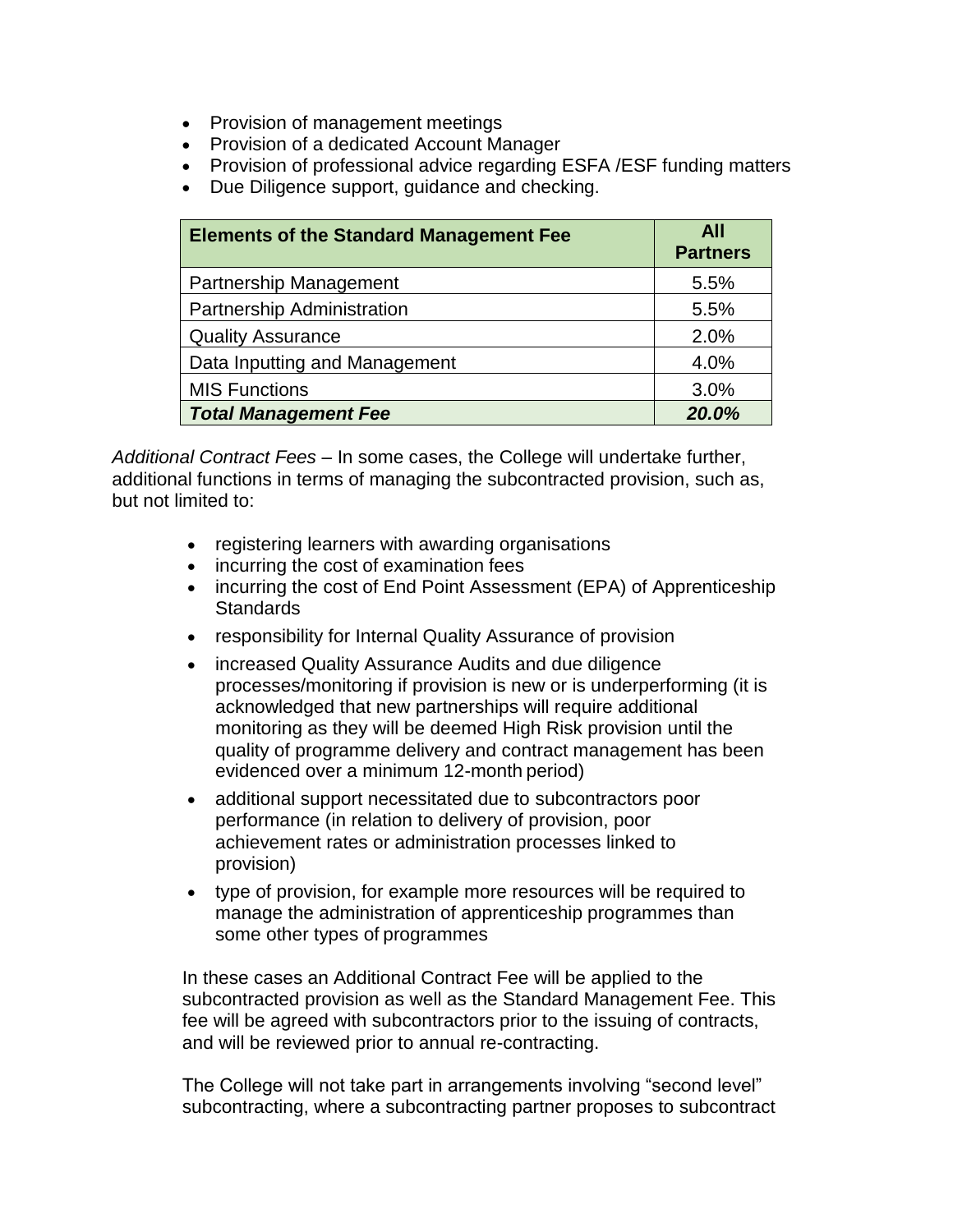- Provision of management meetings
- Provision of a dedicated Account Manager
- Provision of professional advice regarding ESFA / ESF funding matters
- Due Diligence support, guidance and checking.

| <b>Elements of the Standard Management Fee</b> | All<br><b>Partners</b> |
|------------------------------------------------|------------------------|
| <b>Partnership Management</b>                  | 5.5%                   |
| <b>Partnership Administration</b>              | 5.5%                   |
| <b>Quality Assurance</b>                       | 2.0%                   |
| Data Inputting and Management                  | 4.0%                   |
| <b>MIS Functions</b>                           | 3.0%                   |
| <b>Total Management Fee</b>                    | 20.0%                  |

*Additional Contract Fees* – In some cases, the College will undertake further, additional functions in terms of managing the subcontracted provision, such as, but not limited to:

- registering learners with awarding organisations
- incurring the cost of examination fees
- incurring the cost of End Point Assessment (EPA) of Apprenticeship **Standards**
- responsibility for Internal Quality Assurance of provision
- increased Quality Assurance Audits and due diligence processes/monitoring if provision is new or is underperforming (it is acknowledged that new partnerships will require additional monitoring as they will be deemed High Risk provision until the quality of programme delivery and contract management has been evidenced over a minimum 12-month period)
- additional support necessitated due to subcontractors poor performance (in relation to delivery of provision, poor achievement rates or administration processes linked to provision)
- type of provision, for example more resources will be required to manage the administration of apprenticeship programmes than some other types of programmes

In these cases an Additional Contract Fee will be applied to the subcontracted provision as well as the Standard Management Fee. This fee will be agreed with subcontractors prior to the issuing of contracts, and will be reviewed prior to annual re-contracting.

The College will not take part in arrangements involving "second level" subcontracting, where a subcontracting partner proposes to subcontract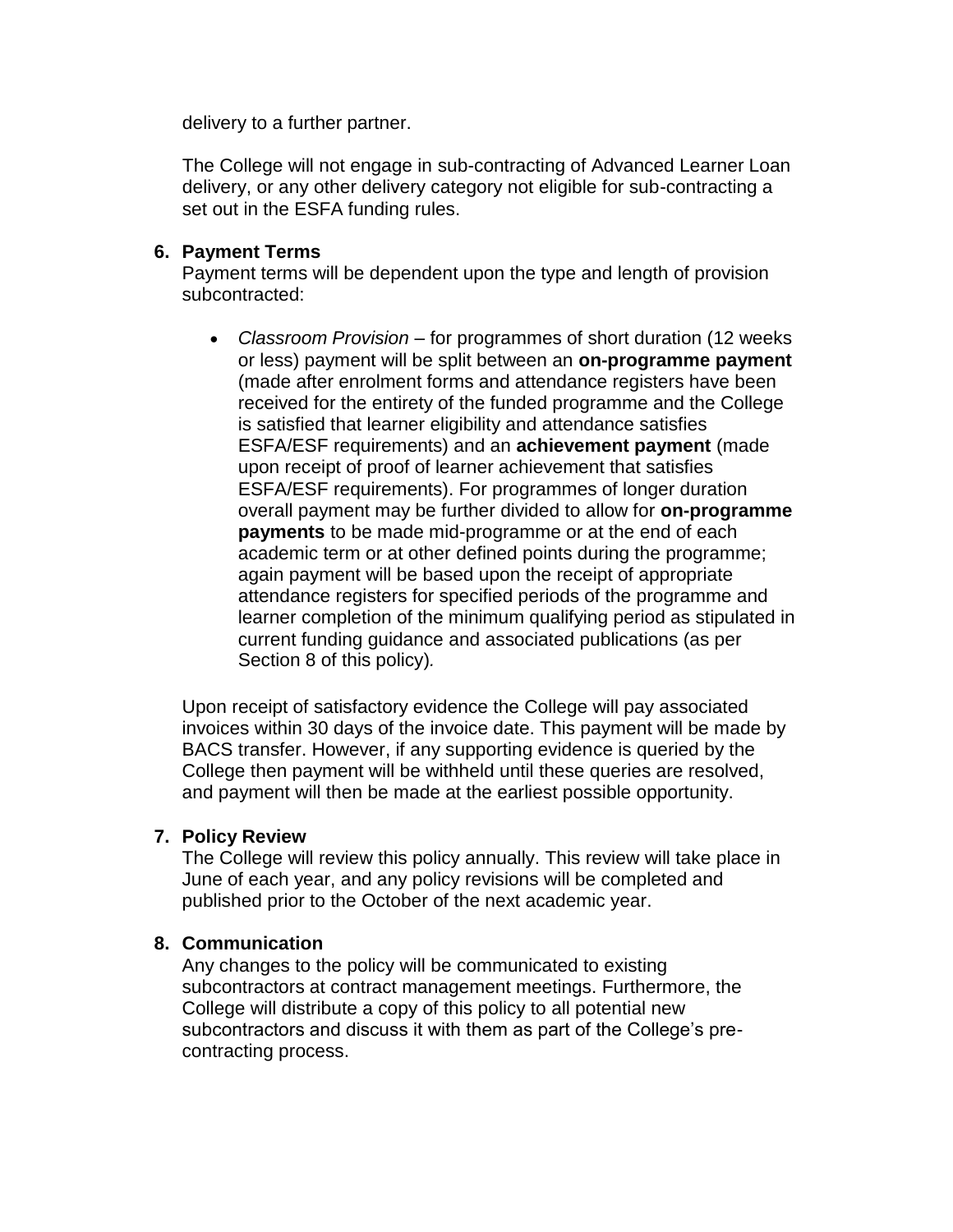delivery to a further partner.

The College will not engage in sub-contracting of Advanced Learner Loan delivery, or any other delivery category not eligible for sub-contracting a set out in the ESFA funding rules.

### **6. Payment Terms**

Payment terms will be dependent upon the type and length of provision subcontracted:

 *Classroom Provision* – for programmes of short duration (12 weeks or less) payment will be split between an **on-programme payment**  (made after enrolment forms and attendance registers have been received for the entirety of the funded programme and the College is satisfied that learner eligibility and attendance satisfies ESFA/ESF requirements) and an **achievement payment** (made upon receipt of proof of learner achievement that satisfies ESFA/ESF requirements). For programmes of longer duration overall payment may be further divided to allow for **on-programme payments** to be made mid-programme or at the end of each academic term or at other defined points during the programme; again payment will be based upon the receipt of appropriate attendance registers for specified periods of the programme and learner completion of the minimum qualifying period as stipulated in current funding guidance and associated publications (as per Section 8 of this policy)*.*

Upon receipt of satisfactory evidence the College will pay associated invoices within 30 days of the invoice date. This payment will be made by BACS transfer. However, if any supporting evidence is queried by the College then payment will be withheld until these queries are resolved, and payment will then be made at the earliest possible opportunity.

#### **7. Policy Review**

The College will review this policy annually. This review will take place in June of each year, and any policy revisions will be completed and published prior to the October of the next academic year.

#### **8. Communication**

Any changes to the policy will be communicated to existing subcontractors at contract management meetings. Furthermore, the College will distribute a copy of this policy to all potential new subcontractors and discuss it with them as part of the College's precontracting process.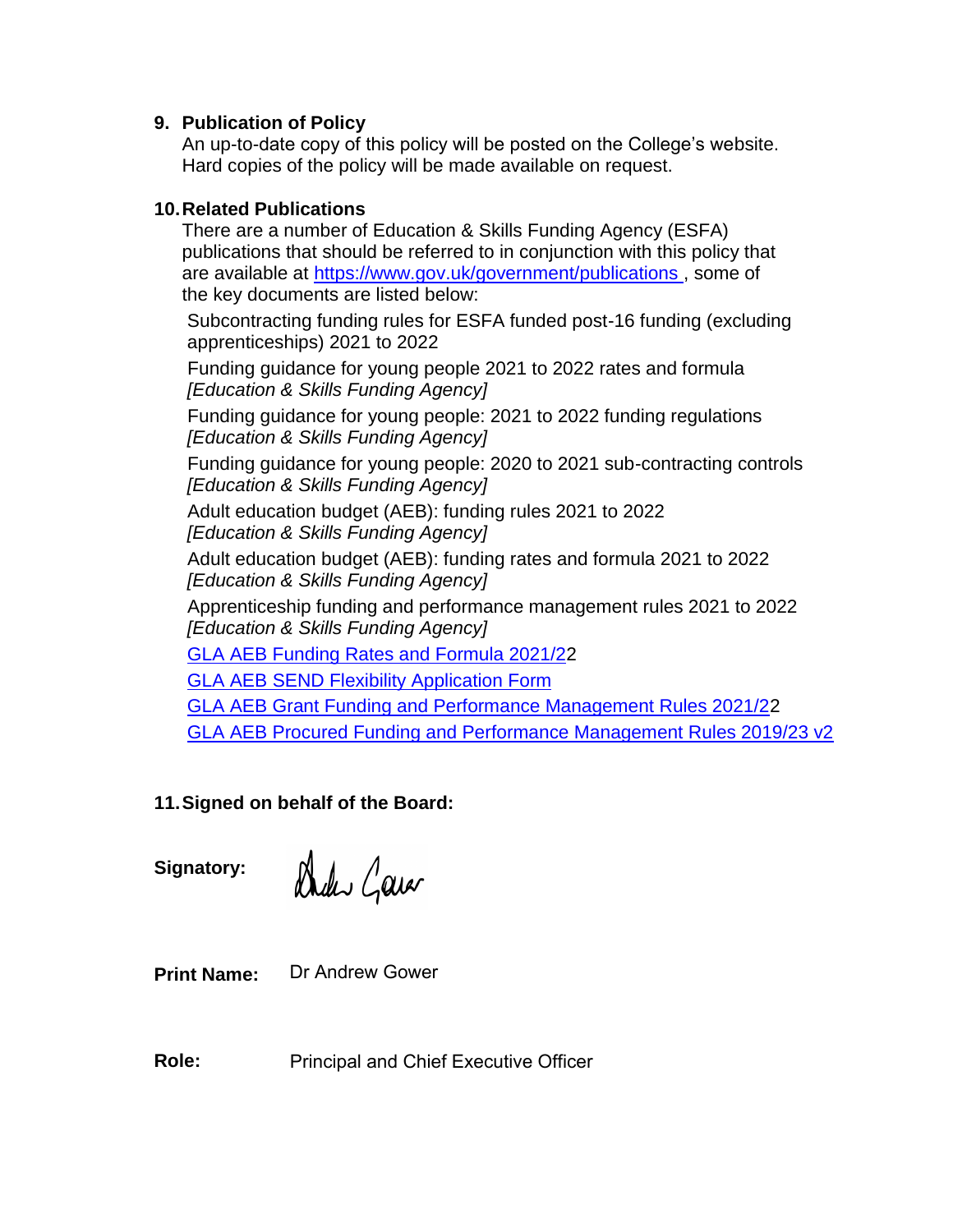### **9. Publication of Policy**

An up-to-date copy of this policy will be posted on the College's website. Hard copies of the policy will be made available on request.

# **10.Related Publications**

There are a number of Education & Skills Funding Agency (ESFA) publications that should be referred to in conjunction with this policy that are available at https://www.gov.uk/government/publications, some of the key documents are listed below:

Subcontracting funding rules for ESFA funded post-16 funding (excluding apprenticeships) 2021 to 2022

Funding guidance for young people 2021 to 2022 rates and formula *[Education & Skills Funding Agency]*

Funding guidance for young people: 2021 to 2022 funding regulations *[Education & Skills Funding Agency]*

Funding guidance for young people: 2020 to 2021 sub-contracting controls *[Education & Skills Funding Agency]*

Adult education budget (AEB): funding rules 2021 to 2022 *[Education & Skills Funding Agency]*

Adult education budget (AEB): funding rates and formula 2021 to 2022 *[Education & Skills Funding Agency]*

Apprenticeship funding and performance management rules 2021 to 2022 *[Education & Skills Funding Agency]*

[GLA AEB Funding Rates and Formula 2021/22](https://www.london.gov.uk/sites/default/files/funding_rates_and_formula_2020-21_v1_1.pdf)

GLA AEB [SEND Flexibility Application Form](https://www.london.gov.uk/sites/default/files/aeb_send_flexibility_application_form.docx)

[GLA AEB Grant Funding and Performance Management Rules 2021/22](https://www.london.gov.uk/sites/default/files/aeb_grant_funding_rules_2020-21_v1_1.pdf) [GLA AEB Procured Funding and Performance Management Rules 2019/23 v2](https://www.london.gov.uk/sites/default/files/procured_aeb_funding_rules_2019-23_v2_1.pdf)

# **11.Signed on behalf of the Board:**

**Signatory:**

Dukis Garar

**Print Name:** Dr Andrew Gower

**Role:** Principal and Chief Executive Officer